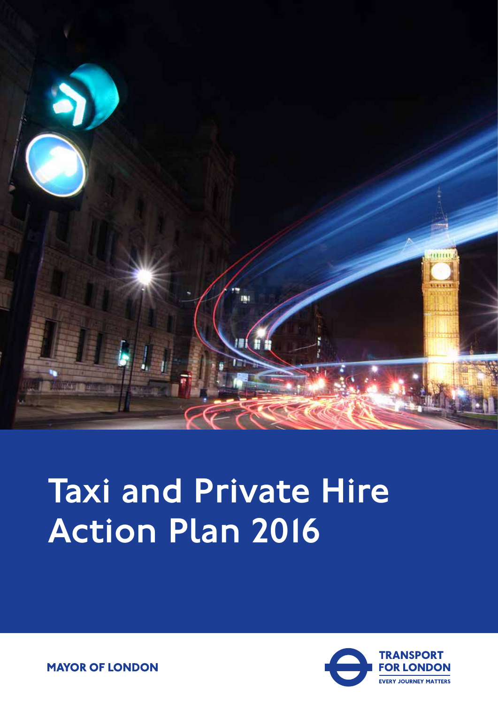

# Taxi and Private Hire Action Plan 2016



**MAYOR OF LONDON**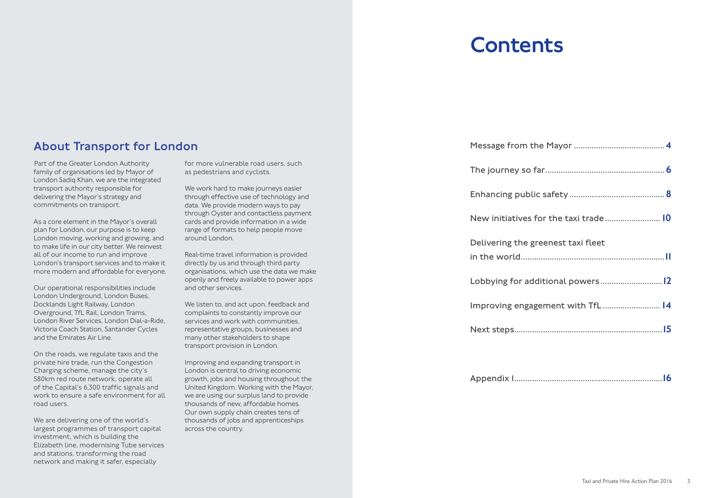Part of the Greater London Authority family of organisations led by Mayor of London Sadiq Khan, we are the integrated transport authority responsible for delivering the Mayor's strategy and commitments on transport.

As a core element in the Mayor's overall plan for London, our purpose is to keep London moving, working and growing, and to make life in our city better. We reinvest all of our income to run and improve London's transport services and to make it more modern and affordable for everyone.

We are delivering one of the world's largest programmes of transport capital investment, which is building the Elizabeth line, modernising Tube services and stations, transforming the road network and making it safer, especially

Our operational responsibilities include London Underground, London Buses, Docklands Light Railway, London Overground, TfL Rail, London Trams, London River Services, London Dial-a-Ride, Victoria Coach Station, Santander Cycles and the Emirates Air Line.

We work hard to make journeys easier through effective use of technology and data. We provide modern ways to pay through Oyster and contactless payment cards and provide information in a wide range of formats to help people move around London.

On the roads, we regulate taxis and the private hire trade, run the Congestion Charging scheme, manage the city's 580km red route network, operate all of the Capital's 6,300 traffic signals and work to ensure a safe environment for all road users.

for more vulnerable road users, such as pedestrians and cyclists.

Real-time travel information is provided directly by us and through third party organisations, which use the data we make openly and freely available to power apps and other services.

We listen to, and act upon, feedback and complaints to constantly improve our services and work with communities, representative groups, businesses and many other stakeholders to shape transport provision in London.

Improving and expanding transport in London is central to driving economic growth, jobs and housing throughout the United Kingdom. Working with the Mayor, we are using our surplus land to provide thousands of new, affordable homes. Our own supply chain creates tens of thousands of jobs and apprenticeships across the country.

Message from the The journey so Enhancing publ New initiatives Delivering the g in the world...... Lobbying for ad Improving enga Next steps..........

Appendix 1...........

| for the taxi trade 10 |  |
|-----------------------|--|
| greenest taxi fleet   |  |
|                       |  |
| ditional powers12     |  |
| gement with TfL 14    |  |
|                       |  |
|                       |  |
|                       |  |

|--|--|--|

### **Contents**

### About Transport for London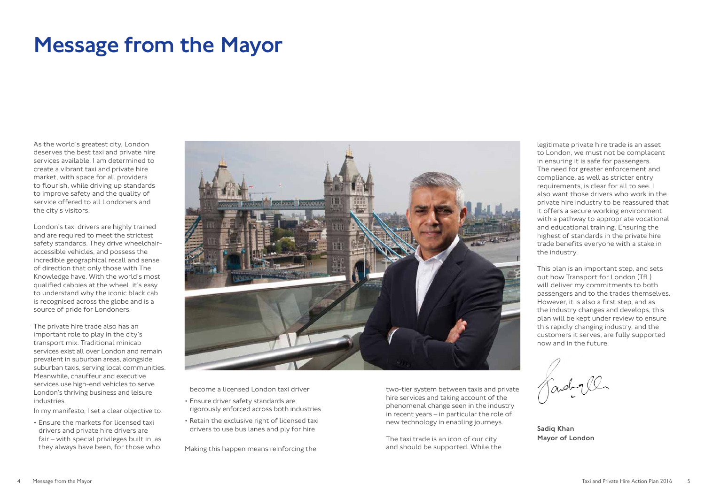become a licensed London taxi driver

- Ensure driver safety standards are rigorously enforced across both industries
- Retain the exclusive right of licensed taxi drivers to use bus lanes and ply for hire

Making this happen means reinforcing the

As the world's greatest city, London deserves the best taxi and private hire services available. I am determined to create a vibrant taxi and private hire market, with space for all providers to flourish, while driving up standards to improve safety and the quality of service offered to all Londoners and the city's visitors.

London's taxi drivers are highly trained and are required to meet the strictest safety standards. They drive wheelchairaccessible vehicles, and possess the incredible geographical recall and sense of direction that only those with The Knowledge have. With the world's most qualified cabbies at the wheel, it's easy to understand why the iconic black cab is recognised across the globe and is a source of pride for Londoners.

The private hire trade also has an important role to play in the city's transport mix. Traditional minicab services exist all over London and remain prevalent in suburban areas, alongside suburban taxis, serving local communities. Meanwhile, chauffeur and executive services use high-end vehicles to serve London's thriving business and leisure industries.

In my manifesto, I set a clear objective to:

• Ensure the markets for licensed taxi drivers and private hire drivers are fair – with special privileges built in, as they always have been, for those who



### Message from the Mayor

two-tier system between taxis and private hire services and taking account of the phenomenal change seen in the industry in recent years – in particular the role of new technology in enabling journeys.

The taxi trade is an icon of our city and should be supported. While the

legitimate private hire trade is an asset to London, we must not be complacent in ensuring it is safe for passengers. The need for greater enforcement and compliance, as well as stricter entry requirements, is clear for all to see. I also want those drivers who work in the private hire industry to be reassured that it offers a secure working environment with a pathway to appropriate vocational and educational training. Ensuring the highest of standards in the private hire trade benefits everyone with a stake in the industry.

This plan is an important step, and sets out how Transport for London (TfL) will deliver my commitments to both passengers and to the trades themselves. However, it is also a first step, and as the industry changes and develops, this plan will be kept under review to ensure this rapidly changing industry, and the customers it serves, are fully supported now and in the future.

Kadyll

Sadiq Khan Mayor of London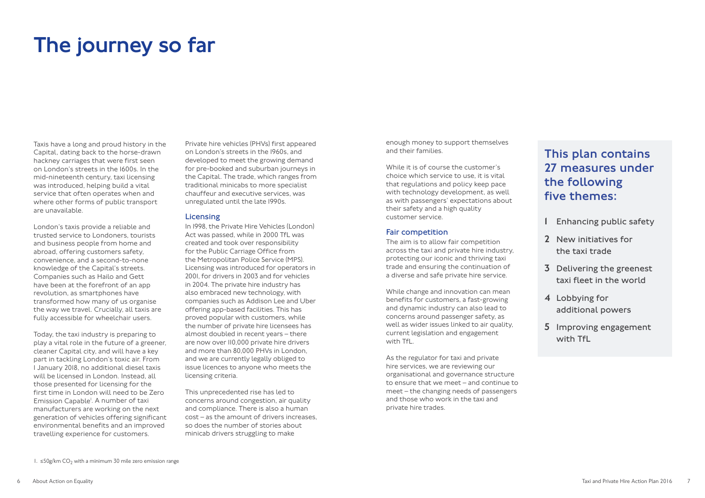Taxis have a long and proud history in the Capital, dating back to the horse-drawn hackney carriages that were first seen on London's streets in the 1600s. In the mid-nineteenth century, taxi licensing was introduced, helping build a vital service that often operates when and where other forms of public transport are unavailable.

London's taxis provide a reliable and trusted service to Londoners, tourists and business people from home and abroad, offering customers safety, convenience, and a second-to-none knowledge of the Capital's streets. Companies such as Hailo and Gett have been at the forefront of an app revolution, as smartphones have transformed how many of us organise the way we travel. Crucially, all taxis are fully accessible for wheelchair users.

While change and innovation can mean benefits for customers, a fast-growing and dynamic industry can also lead to concerns around passenger safety, as well as wider issues linked to air quality, current legislation and engagement with Tfl.

Today, the taxi industry is preparing to play a vital role in the future of a greener, cleaner Capital city, and will have a key part in tackling London's toxic air. From 1 January 2018, no additional diesel taxis will be licensed in London. Instead, all those presented for licensing for the first time in London will need to be Zero Emission Capable<sup>'</sup>. A number of taxi manufacturers are working on the next generation of vehicles offering significant environmental benefits and an improved travelling experience for customers.

### The journey so far

enough money to support themselves and their families.

While it is of course the customer's choice which service to use, it is vital that regulations and policy keep pace with technology development, as well as with passengers' expectations about their safety and a high quality customer service.

### Fair competition

The aim is to allow fair competition across the taxi and private hire industry, protecting our iconic and thriving taxi trade and ensuring the continuation of a diverse and safe private hire service.

As the regulator for taxi and private hire services, we are reviewing our organisational and governance structure to ensure that we meet – and continue to meet – the changing needs of passengers and those who work in the taxi and private hire trades.

1. ≤50g/km  $CO<sub>2</sub>$  with a minimum 30 mile zero emission range

Private hire vehicles (PHVs) first appeared on London's streets in the 1960s, and developed to meet the growing demand for pre-booked and suburban journeys in the Capital. The trade, which ranges from traditional minicabs to more specialist chauffeur and executive services, was unregulated until the late 1990s.

### Licensing

In 1998, the Private Hire Vehicles (London) Act was passed, while in 2000 TfL was created and took over responsibility for the Public Carriage Office from the Metropolitan Police Service (MPS). Licensing was introduced for operators in 2001, for drivers in 2003 and for vehicles in 2004. The private hire industry has also embraced new technology, with companies such as Addison Lee and Uber offering app-based facilities. This has proved popular with customers, while the number of private hire licensees has almost doubled in recent years – there are now over 110,000 private hire drivers and more than 80,000 PHVs in London, and we are currently legally obliged to issue licences to anyone who meets the licensing criteria.

This unprecedented rise has led to concerns around congestion, air quality and compliance. There is also a human cost – as the amount of drivers increases, so does the number of stories about minicab drivers struggling to make

### This plan contains 27 measures under the following five themes:

- 1 Enhancing public safety
- 2 New initiatives for the taxi trade
- 3 Delivering the greenest taxi fleet in the world
- 4 Lobbying for additional powers
- 5 Improving engagement with TfL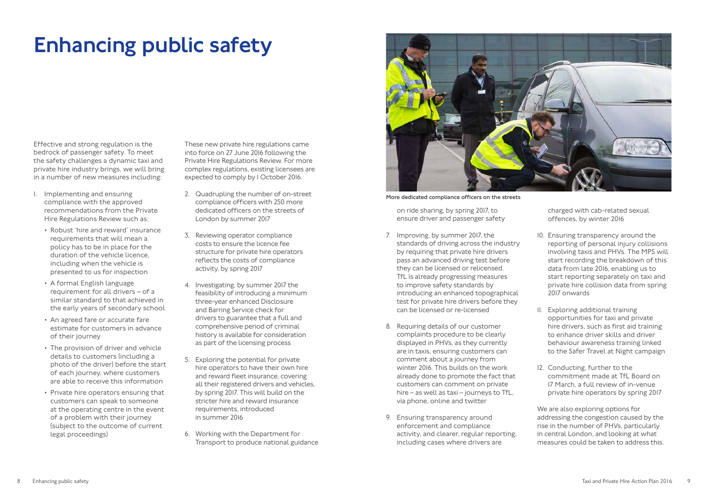Effective and strong regulation is the bedrock of passenger safety. To meet the safety challenges a dynamic taxi and private hire industry brings, we will bring in a number of new measures including:

- 1. Implementing and ensuring compliance with the approved recommendations from the Private Hire Regulations Review such as:
	- Robust 'hire and reward' insurance requirements that will mean a policy has to be in place for the duration of the vehicle licence, including when the vehicle is presented to us for inspection
	- A formal English language requirement for all drivers – of a similar standard to that achieved in the early years of secondary school
	- An agreed fare or accurate fare estimate for customers in advance of their journey
	- The provision of driver and vehicle details to customers (including a photo of the driver) before the start of each journey, where customers are able to receive this information
	- Private hire operators ensuring that customers can speak to someone at the operating centre in the event of a problem with their journey (subject to the outcome of current legal proceedings)

### Enhancing public safety

on ride sharing, by spring 2017, to ensure driver and passenger safety

- 7. Improving, by summer 2017, the standards of driving across the industry by requiring that private hire drivers pass an advanced driving test before they can be licensed or relicensed. TfL is already progressing measures to improve safety standards by introducing an enhanced topographical test for private hire drivers before they can be licensed or re-licensed
- 8. Requiring details of our customer complaints procedure to be clearly displayed in PHVs, as they currently are in taxis, ensuring customers can comment about a journey from winter 2016. This builds on the work already done to promote the fact that customers can comment on private hire – as well as taxi – journeys to TfL, via phone, online and twitter
- 9. Ensuring transparency around enforcement and compliance activity, and clearer, regular reporting, including cases where drivers are

These new private hire regulations came into force on 27 June 2016 following the Private Hire Regulations Review. For more complex regulations, existing licensees are expected to comply by 1 October 2016.

- 2. Quadrupling the number of on-street compliance officers with 250 more dedicated officers on the streets of London by summer 2017
- 3. Reviewing operator compliance costs to ensure the licence fee structure for private hire operators reflects the costs of compliance activity, by spring 2017
- 4. Investigating, by summer 2017 the feasibility of introducing a minimum three-year enhanced Disclosure and Barring Service check for drivers to guarantee that a full and comprehensive period of criminal history is available for consideration as part of the licensing process
- 5. Exploring the potential for private hire operators to have their own hire and reward fleet insurance, covering all their registered drivers and vehicles, by spring 2017. This will build on the stricter hire and reward insurance requirements, introduced in summer 2016
- 6. Working with the Department for Transport to produce national guidance



charged with cab-related sexual offences, by winter 2016

- 10. Ensuring transparency around the reporting of personal injury collisions involving taxis and PHVs. The MPS will start recording the breakdown of this data from late 2016, enabling us to start reporting separately on taxi and private hire collision data from spring 2017 onwards
- 11. Exploring additional training opportunities for taxi and private hire drivers, such as first aid training to enhance driver skills and driver behaviour awareness training linked to the Safer Travel at Night campaign
- 12. Conducting, further to the commitment made at TfL Board on 17 March, a full review of in-venue private hire operators by spring 2017

We are also exploring options for addressing the congestion caused by the rise in the number of PHVs, particularly in central London, and looking at what measures could be taken to address this.

More dedicated compliance officers on the streets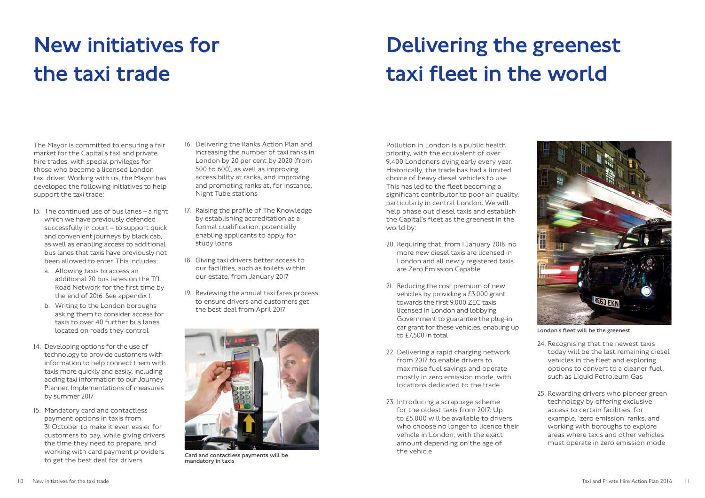The Mayor is committed to ensuring a fair market for the Capital's taxi and private hire trades, with special privileges for those who become a licensed London taxi driver. Working with us, the Mayor has developed the following initiatives to help support the taxi trade:

- 13. The continued use of bus lanes a right which we have previously defended successfully in court – to support quick and convenient journeys by black cab, as well as enabling access to additional bus lanes that taxis have previously not been allowed to enter. This includes:
	- a. Allowing taxis to access an additional 20 bus lanes on the TfL Road Network for the first time by the end of 2016. See appendix 1
	- b. Writing to the London boroughs asking them to consider access for taxis to over 40 further bus lanes located on roads they control
- 14. Developing options for the use of technology to provide customers with information to help connect them with taxis more quickly and easily, including adding taxi information to our Journey Planner. Implementations of measures by summer 2017
- 15. Mandatory card and contactless payment options in taxis from 31 October to make it even easier for customers to pay, while giving drivers the time they need to prepare, and working with card payment providers to get the best deal for drivers

### New initiatives for the taxi trade

- 16. Delivering the Ranks Action Plan and increasing the number of taxi ranks in London by 20 per cent by 2020 (from 500 to 600), as well as improving accessibility at ranks, and improving and promoting ranks at, for instance, Night Tube stations
- 17. Raising the profile of The Knowledge by establishing accreditation as a formal qualification, potentially enabling applicants to apply for study loans
- 18. Giving taxi drivers better access to our facilities, such as toilets within our estate, from January 2017
- 19. Reviewing the annual taxi fares process to ensure drivers and customers get the best deal from April 2017

Pollution in London is a public health priority, with the equivalent of over 9,400 Londoners dying early every year. Historically, the trade has had a limited choice of heavy diesel vehicles to use. This has led to the fleet becoming a significant contributor to poor air quality, particularly in central London. We will help phase out diesel taxis and establish the Capital's fleet as the greenest in the world by:

- 20. Requiring that, from 1 January 2018, no more new diesel taxis are licensed in London and all newly registered taxis are Zero Emission Capable
- 21. Reducing the cost premium of new vehicles by providing a £3,000 grant towards the first 9,000 ZEC taxis licensed in London and lobbying Government to guarantee the plug-in car grant for these vehicles, enabling up to £7,500 in total
- 22. Delivering a rapid charging network from 2017 to enable drivers to maximise fuel savings and operate mostly in zero emission mode, with locations dedicated to the trade
- 23. Introducing a scrappage scheme for the oldest taxis from 2017. Up to £5,000 will be available to drivers who choose no longer to licence their vehicle in London, with the exact amount depending on the age of the vehicle

# Delivering the greenest taxi fleet in the world

- 24. Recognising that the newest taxis today will be the last remaining diesel vehicles in the fleet and exploring options to convert to a cleaner fuel, such as Liquid Petroleum Gas
- 25. Rewarding drivers who pioneer green technology by offering exclusive access to certain facilities, for example, 'zero emission' ranks, and working with boroughs to explore areas where taxis and other vehicles must operate in zero emission mode



Card and contactless payments will be mandatory in taxis



London's fleet will be the greenest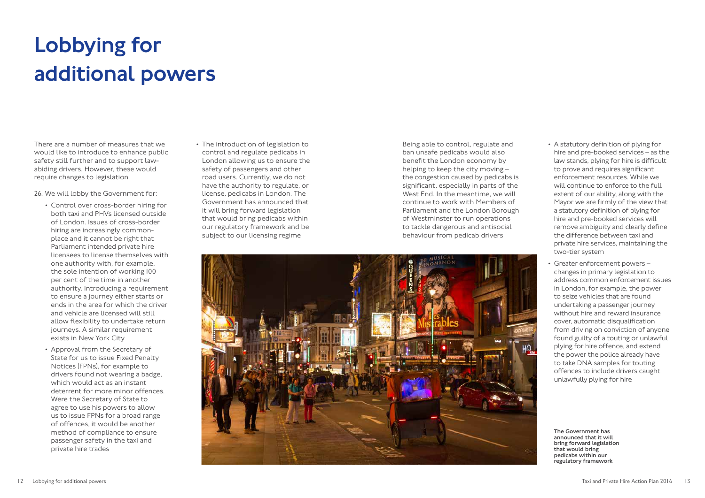There are a number of measures that we would like to introduce to enhance public safety still further and to support lawabiding drivers. However, these would require changes to legislation.

26. We will lobby the Government for:

- Control over cross-border hiring for both taxi and PHVs licensed outside of London. Issues of cross-border hiring are increasingly commonplace and it cannot be right that Parliament intended private hire licensees to license themselves with one authority with, for example, the sole intention of working 100 per cent of the time in another authority. Introducing a requirement to ensure a journey either starts or ends in the area for which the driver and vehicle are licensed will still allow flexibility to undertake return journeys. A similar requirement exists in New York City
- Approval from the Secretary of State for us to issue Fixed Penalty Notices (FPNs), for example to drivers found not wearing a badge, which would act as an instant deterrent for more minor offences. Were the Secretary of State to agree to use his powers to allow us to issue FPNs for a broad range of offences, it would be another method of compliance to ensure passenger safety in the taxi and private hire trades

## Lobbying for additional powers

• The introduction of legislation to control and regulate pedicabs in London allowing us to ensure the safety of passengers and other road users. Currently, we do not have the authority to regulate, or license, pedicabs in London. The Government has announced that it will bring forward legislation that would bring pedicabs within our regulatory framework and be subject to our licensing regime

Being able to control, regulate and ban unsafe pedicabs would also benefit the London economy by helping to keep the city moving – the congestion caused by pedicabs is significant, especially in parts of the West End. In the meantime, we will continue to work with Members of Parliament and the London Borough of Westminster to run operations to tackle dangerous and antisocial behaviour from pedicab drivers



- A statutory definition of plying for hire and pre-booked services – as the law stands, plying for hire is difficult to prove and requires significant enforcement resources. While we will continue to enforce to the full extent of our ability, along with the Mayor we are firmly of the view that a statutory definition of plying for hire and pre-booked services will remove ambiguity and clearly define the difference between taxi and private hire services, maintaining the two-tier system
- Greater enforcement powers changes in primary legislation to address common enforcement issues in London, for example, the power to seize vehicles that are found undertaking a passenger journey without hire and reward insurance cover, automatic disqualification from driving on conviction of anyone found guilty of a touting or unlawful plying for hire offence, and extend the power the police already have to take DNA samples for touting offences to include drivers caught unlawfully plying for hire

The Government has announced that it will bring forward legislation that would bring pedicabs within our regulatory framework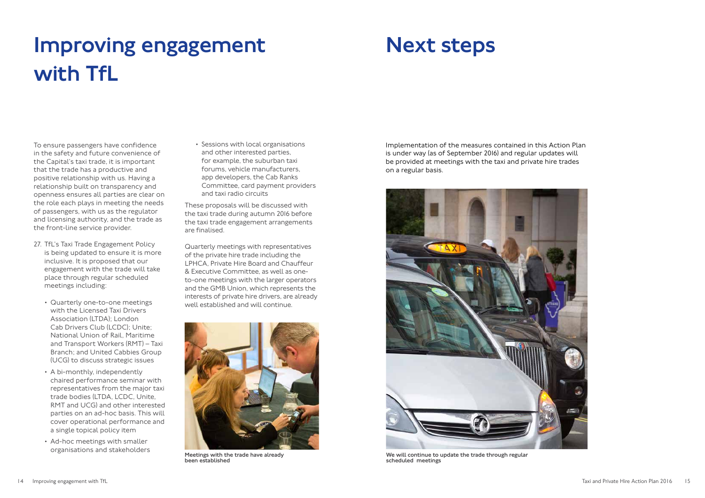To ensure passengers have confidence in the safety and future convenience of the Capital's taxi trade, it is important that the trade has a productive and positive relationship with us. Having a relationship built on transparency and openness ensures all parties are clear on the role each plays in meeting the needs of passengers, with us as the regulator and licensing authority, and the trade as the front-line service provider.

- 27. TfL's Taxi Trade Engagement Policy is being updated to ensure it is more inclusive. It is proposed that our engagement with the trade will take place through regular scheduled meetings including:
	- Quarterly one-to-one meetings with the Licensed Taxi Drivers Association (LTDA); London Cab Drivers Club (LCDC); Unite: National Union of Rail, Maritime and Transport Workers (RMT) – Taxi Branch; and United Cabbies Group (UCG) to discuss strategic issues
	- A bi-monthly, independently chaired performance seminar with representatives from the major taxi trade bodies (LTDA, LCDC, Unite, RMT and UCG) and other interested parties on an ad-hoc basis. This will cover operational performance and a single topical policy item
	- Ad-hoc meetings with smaller organisations and stakeholders

## Improving engagement with TfL

• Sessions with local organisations and other interested parties, for example, the suburban taxi forums, vehicle manufacturers, app developers, the Cab Ranks Committee, card payment providers and taxi radio circuits

These proposals will be discussed with the taxi trade during autumn 2016 before the taxi trade engagement arrangements are finalised.

Quarterly meetings with representatives of the private hire trade including the LPHCA, Private Hire Board and Chauffeur & Executive Committee, as well as oneto-one meetings with the larger operators and the GMB Union, which represents the interests of private hire drivers, are already well established and will continue.

Implementation of the measures contained in this Action Plan is under way (as of September 2016) and regular updates will be provided at meetings with the taxi and private hire trades on a regular basis.

### Next steps



Meetings with the trade have already been established



We will continue to update the trade through regular scheduled meetings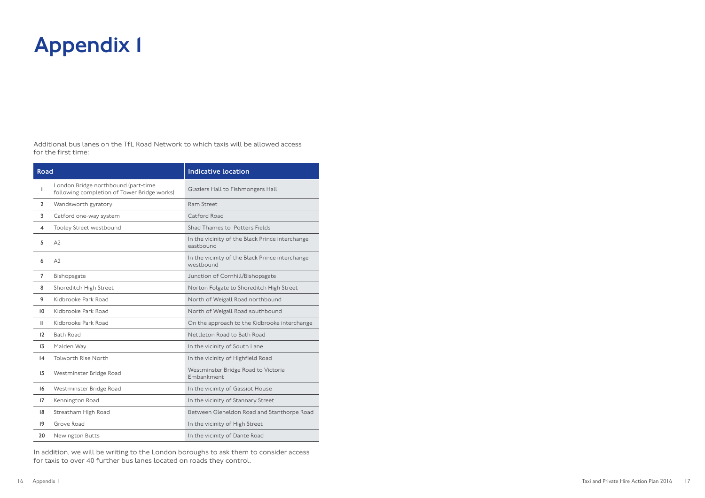| <b>Road</b>       |                                                                                    | <b>Indicative location</b>                                   |
|-------------------|------------------------------------------------------------------------------------|--------------------------------------------------------------|
| 1                 | London Bridge northbound (part-time<br>following completion of Tower Bridge works) | Glaziers Hall to Fishmongers Hall                            |
| $\mathbf{2}$      | Wandsworth gyratory                                                                | Ram Street                                                   |
| 3                 | Catford one-way system                                                             | Catford Road                                                 |
| 4                 | Tooley Street westbound                                                            | Shad Thames to Potters Fields                                |
| 5                 | A2                                                                                 | In the vicinity of the Black Prince interchange<br>eastbound |
| 6                 | A <sub>2</sub>                                                                     | In the vicinity of the Black Prince interchange<br>westbound |
| $\overline{7}$    | Bishopsgate                                                                        | Junction of Cornhill/Bishopsgate                             |
| 8                 | Shoreditch High Street                                                             | Norton Folgate to Shoreditch High Street                     |
| 9                 | Kidbrooke Park Road                                                                | North of Weigall Road northbound                             |
| $\overline{10}$   | Kidbrooke Park Road                                                                | North of Weigall Road southbound                             |
| $\mathbf{H}$      | Kidbrooke Park Road                                                                | On the approach to the Kidbrooke interchange                 |
| $12 \overline{ }$ | <b>Bath Road</b>                                                                   | Nettleton Road to Bath Road                                  |
| 13                | Malden Way                                                                         | In the vicinity of South Lane                                |
| $\overline{14}$   | <b>Tolworth Rise North</b>                                                         | In the vicinity of Highfield Road                            |
| 15                | Westminster Bridge Road                                                            | Westminster Bridge Road to Victoria<br>Embankment            |
| 16                | Westminster Bridge Road                                                            | In the vicinity of Gassiot House                             |
| 17                | Kennington Road                                                                    | In the vicinity of Stannary Street                           |
| 18                | Streatham High Road                                                                | Between Gleneldon Road and Stanthorpe Road                   |
| $\overline{19}$   | Grove Road                                                                         | In the vicinity of High Street                               |
| 20                | <b>Newington Butts</b>                                                             | In the vicinity of Dante Road                                |

Additional bus lanes on the TfL Road Network to which taxis will be allowed access for the first time:

### Appendix 1

In addition, we will be writing to the London boroughs to ask them to consider access for taxis to over 40 further bus lanes located on roads they control.